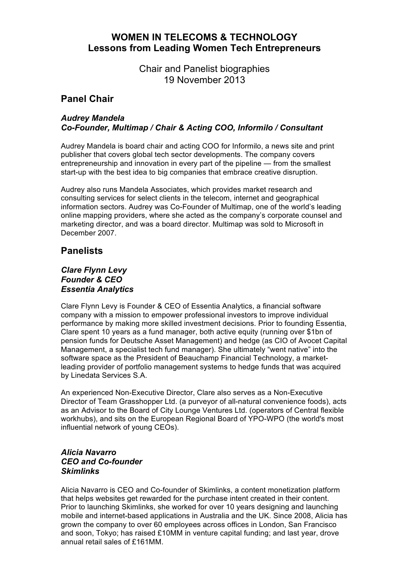# **WOMEN IN TELECOMS & TECHNOLOGY Lessons from Leading Women Tech Entrepreneurs**

Chair and Panelist biographies 19 November 2013

# **Panel Chair**

## *Audrey Mandela Co-Founder, Multimap / Chair & Acting COO, Informilo / Consultant*

Audrey Mandela is board chair and acting COO for Informilo, a news site and print publisher that covers global tech sector developments. The company covers entrepreneurship and innovation in every part of the pipeline — from the smallest start-up with the best idea to big companies that embrace creative disruption.

Audrey also runs Mandela Associates, which provides market research and consulting services for select clients in the telecom, internet and geographical information sectors. Audrey was Co-Founder of Multimap, one of the world's leading online mapping providers, where she acted as the company's corporate counsel and marketing director, and was a board director. Multimap was sold to Microsoft in December 2007.

# **Panelists**

#### *Clare Flynn Levy Founder & CEO Essentia Analytics*

Clare Flynn Levy is Founder & CEO of Essentia Analytics, a financial software company with a mission to empower professional investors to improve individual performance by making more skilled investment decisions. Prior to founding Essentia, Clare spent 10 years as a fund manager, both active equity (running over \$1bn of pension funds for Deutsche Asset Management) and hedge (as CIO of Avocet Capital Management, a specialist tech fund manager). She ultimately "went native" into the software space as the President of Beauchamp Financial Technology, a marketleading provider of portfolio management systems to hedge funds that was acquired by Linedata Services S.A.

An experienced Non-Executive Director, Clare also serves as a Non-Executive Director of Team Grasshopper Ltd. (a purveyor of all-natural convenience foods), acts as an Advisor to the Board of City Lounge Ventures Ltd. (operators of Central flexible workhubs), and sits on the European Regional Board of YPO-WPO (the world's most influential network of young CEOs).

## *Alicia Navarro CEO and Co-founder Skimlinks*

Alicia Navarro is CEO and Co-founder of Skimlinks, a content monetization platform that helps websites get rewarded for the purchase intent created in their content. Prior to launching Skimlinks, she worked for over 10 years designing and launching mobile and internet-based applications in Australia and the UK. Since 2008, Alicia has grown the company to over 60 employees across offices in London, San Francisco and soon, Tokyo; has raised £10MM in venture capital funding; and last year, drove annual retail sales of £161MM.